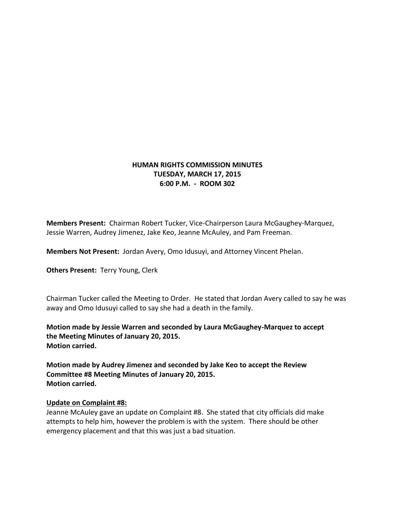## **HUMAN RIGHTS COMMISSION MINUTES TUESDAY, MARCH 17, 2015 6:00 P.M. - ROOM 302**

**Members Present:** Chairman Robert Tucker, Vice-Chairperson Laura McGaughey-Marquez, Jessie Warren, Audrey Jimenez, Jake Keo, Jeanne McAuley, and Pam Freeman.

**Members Not Present:** Jordan Avery, Omo Idusuyi, and Attorney Vincent Phelan.

**Others Present:** Terry Young, Clerk

Chairman Tucker called the Meeting to Order. He stated that Jordan Avery called to say he was away and Omo Idusuyi called to say she had a death in the family.

**Motion made by Jessie Warren and seconded by Laura McGaughey-Marquez to accept the Meeting Minutes of January 20, 2015. Motion carried.**

**Motion made by Audrey Jimenez and seconded by Jake Keo to accept the Review Committee #8 Meeting Minutes of January 20, 2015. Motion carried.**

## **Update on Complaint #8:**

Jeanne McAuley gave an update on Complaint #8. She stated that city officials did make attempts to help him, however the problem is with the system. There should be other emergency placement and that this was just a bad situation.